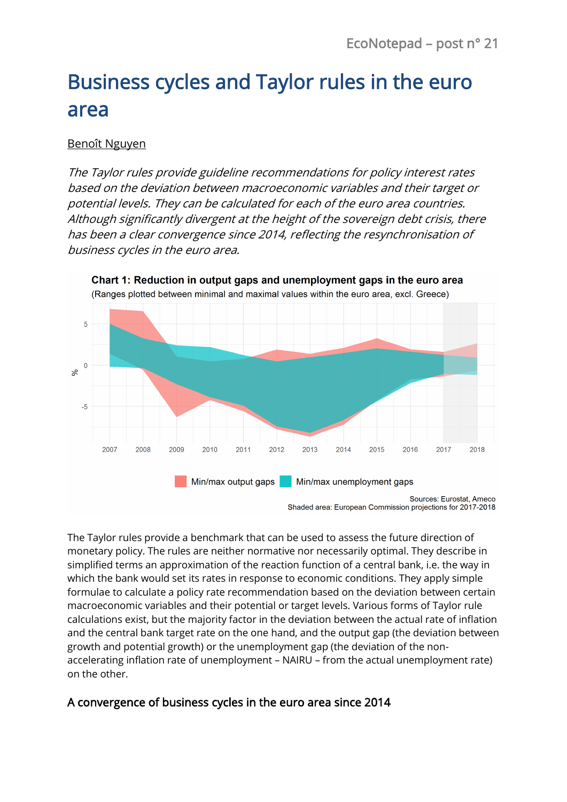# Business cycles and Taylor rules in the euro area

#### [Benoît Nguyen](https://www.banque-france.fr/economie/economistes-et-chercheurs/benoit-nguyen)

The Taylor rules provide guideline recommendations for policy interest rates based on the deviation between macroeconomic variables and their target or potential levels. They can be calculated for each of the euro area countries. Although significantly divergent at the height of the sovereign debt crisis, there has been a clear convergence since 2014, reflecting the resynchronisation of business cycles in the euro area.



Shaded area: European Commission projections for 2017-2018

The Taylor rules provide a benchmark that can be used to assess the future direction of monetary policy. The rules are neither normative nor necessarily optimal. They describe in simplified terms an approximation of the reaction function of a central bank, i.e. the way in which the bank would set its rates in response to economic conditions. They apply simple formulae to calculate a policy rate recommendation based on the deviation between certain macroeconomic variables and their potential or target levels. Various forms of Taylor rule calculations exist, but the majority factor in the deviation between the actual rate of inflation and the central bank target rate on the one hand, and the output gap (the deviation between growth and potential growth) or the unemployment gap (the deviation of the nonaccelerating inflation rate of unemployment – NAIRU – from the actual unemployment rate) on the other.

## A convergence of business cycles in the euro area since 2014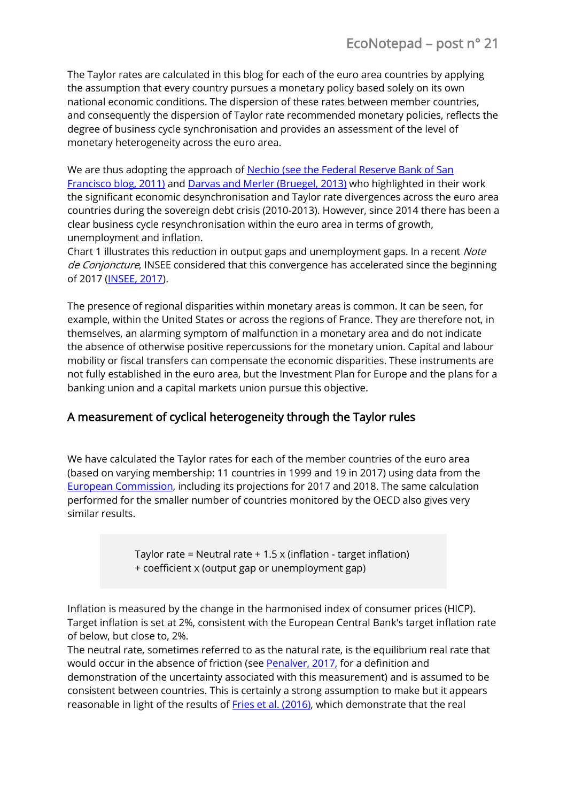The Taylor rates are calculated in this blog for each of the euro area countries by applying the assumption that every country pursues a monetary policy based solely on its own national economic conditions. The dispersion of these rates between member countries, and consequently the dispersion of Taylor rate recommended monetary policies, reflects the degree of business cycle synchronisation and provides an assessment of the level of monetary heterogeneity across the euro area.

We are thus adopting the approach of [Nechio](http://www.frbsf.org/economic-research/publications/economic-letter/2011/june/monetary-policy-europe/) [\(s](http://www.frbsf.org/economic-research/publications/economic-letter/2011/june/monetary-policy-europe/)ee the Federal Reserve Bank of San Francisco blog, [2011\)](http://www.frbsf.org/economic-research/publications/economic-letter/2011/june/monetary-policy-europe/) and [Darvas and Merler](http://bruegel.org/2013/09/15-to-4-taylor-rule-interest-rates-for-euro-area-countries/) [\(B](http://bruegel.org/2013/09/15-to-4-taylor-rule-interest-rates-for-euro-area-countries/)ruegel, [2013\)](http://bruegel.org/2013/09/15-to-4-taylor-rule-interest-rates-for-euro-area-countries/) who highlighted in their work the significant economic desynchronisation and Taylor rate divergences across the euro area countries during the sovereign debt crisis (2010-2013). However, since 2014 there has been a clear business cycle resynchronisation within the euro area in terms of growth, unemployment and inflation.

Chart 1 illustrates this reduction in output gaps and unemployment gaps. In a recent *Note* de Conjoncture, INSEE considered that this convergence has accelerated since the beginning of 2017 [\(INSEE, 2017\)](https://www.insee.fr/fr/statistiques/2662522?sommaire=2662600).

The presence of regional disparities within monetary areas is common. It can be seen, for example, within the United States or across the regions of France. They are therefore not, in themselves, an alarming symptom of malfunction in a monetary area and do not indicate the absence of otherwise positive repercussions for the monetary union. Capital and labour mobility or fiscal transfers can compensate the economic disparities. These instruments are not fully established in the euro area, but the Investment Plan for Europe and the plans for a banking union and a capital markets union pursue this objective.

## A measurement of cyclical heterogeneity through the Taylor rules

We have calculated the Taylor rates for each of the member countries of the euro area (based on varying membership: 11 countries in 1999 and 19 in 2017) using data from the [European Commission,](http://ec.europa.eu/economy_finance/ameco/user/serie/SelectSerie.cfm) including its projections for 2017 and 2018. The same calculation performed for the smaller number of countries monitored by the OECD also gives very similar results.

> Taylor rate = Neutral rate  $+ 1.5 \times (inflation - target inflation)$ + coefficient x (output gap or unemployment gap)

Inflation is measured by the change in the harmonised index of consumer prices (HICP). Target inflation is set at 2%, consistent with the European Central Bank's target inflation rate of below, but close to, 2%.

The neutral rate, sometimes referred to as the natural rate, is the equilibrium real rate that would occur in the absence of friction (see [Penalver, 2017,](https://blocnotesdeleco.banque-france.fr/billet-de-blog/taux-dinteret-naturel-estimations-pour-la-zone-euro) for a definition and demonstration of the uncertainty associated with this measurement) and is assumed to be consistent between countries. This is certainly a strong assumption to make but it appears reasonable in light of the results o[f Fries et al. \(2016\),](https://publications.banque-france.fr/sites/default/files/medias/documents/working-paper-611_2016-12-16.pdf) which demonstrate that the real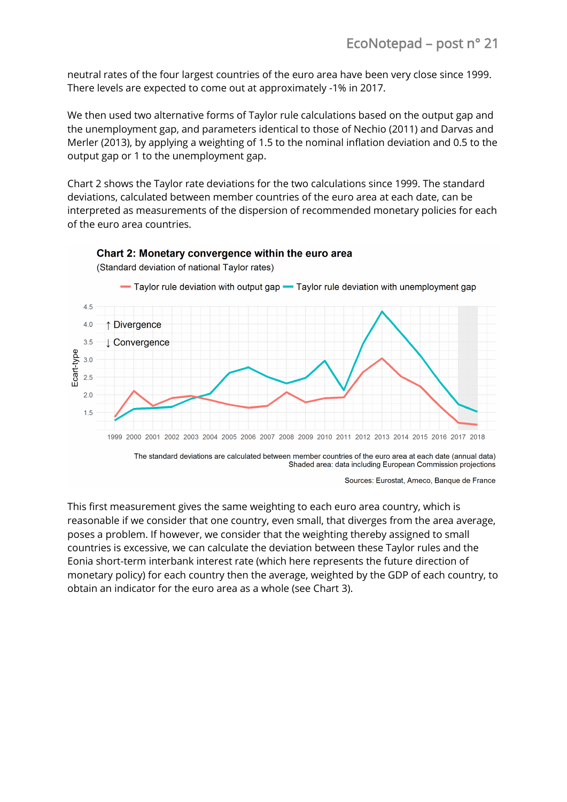neutral rates of the four largest countries of the euro area have been very close since 1999. There levels are expected to come out at approximately -1% in 2017.

We then used two alternative forms of Taylor rule calculations based on the output gap and the unemployment gap, and parameters identical to those of [Nechio](http://www.frbsf.org/economic-research/publications/economic-letter/2011/june/monetary-policy-europe/) (2011) and Darvas and Merler (2013[\),](http://bruegel.org/2013/09/15-to-4-taylor-rule-interest-rates-for-euro-area-countries/) by applying a weighting of 1.5 to the nominal inflation deviation and 0.5 to the output gap or 1 to the unemployment gap.

Chart 2 shows the Taylor rate deviations for the two calculations since 1999. The standard deviations, calculated between member countries of the euro area at each date, can be interpreted as measurements of the dispersion of recommended monetary policies for each of the euro area countries.



Chart 2: Monetary convergence within the euro area

The standard deviations are calculated between member countries of the euro area at each date (annual data) Shaded area: data including European Commission projections

Sources: Eurostat, Ameco, Banque de France

This first measurement gives the same weighting to each euro area country, which is reasonable if we consider that one country, even small, that diverges from the area average, poses a problem. If however, we consider that the weighting thereby assigned to small countries is excessive, we can calculate the deviation between these Taylor rules and the Eonia short-term interbank interest rate (which here represents the future direction of monetary policy) for each country then the average, weighted by the GDP of each country, to obtain an indicator for the euro area as a whole (see Chart 3).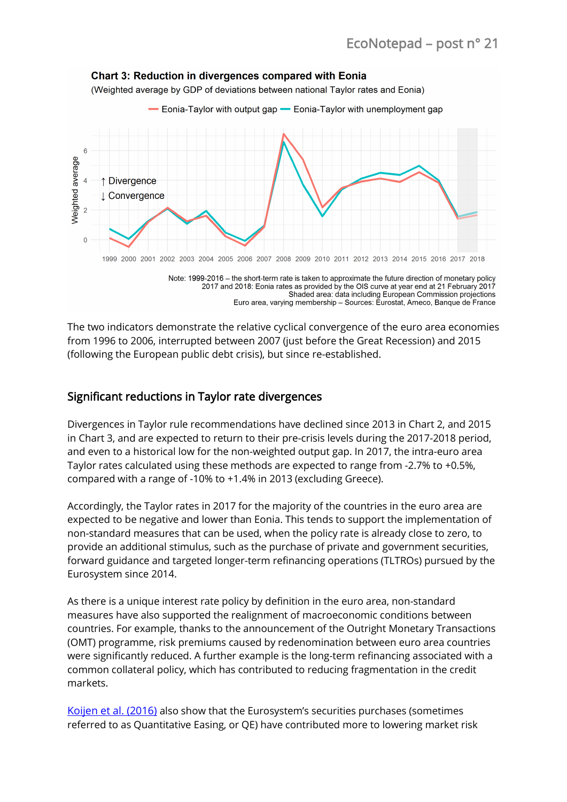

Note: 1999-2016 - the short-term rate is taken to approximate the future direction of monetary policy 2017 and 2018: Eonia rates as provided by the OIS curve at year end at 21 February 2017 Shaded area: data including European Commission projections Euro area, varying membership - Sources: Eurostat, Ameco, Banque de France

The two indicators demonstrate the relative cyclical convergence of the euro area economies from 1996 to 2006, interrupted between 2007 (just before the Great Recession) and 2015 (following the European public debt crisis), but since re-established.

#### Significant reductions in Taylor rate divergences

Divergences in Taylor rule recommendations have declined since 2013 in Chart 2, and 2015 in Chart 3, and are expected to return to their pre-crisis levels during the 2017-2018 period, and even to a historical low for the non-weighted output gap. In 2017, the intra-euro area Taylor rates calculated using these methods are expected to range from -2.7% to +0.5%, compared with a range of -10% to +1.4% in 2013 (excluding Greece).

Accordingly, the Taylor rates in 2017 for the majority of the countries in the euro area are expected to be negative and lower than Eonia. This tends to support the implementation of non-standard measures that can be used, when the policy rate is already close to zero, to provide an additional stimulus, such as the purchase of private and government securities, forward guidance and targeted longer-term refinancing operations (TLTROs) pursued by the Eurosystem since 2014.

As there is a unique interest rate policy by definition in the euro area, non-standard measures have also supported the realignment of macroeconomic conditions between countries. For example, thanks to the announcement of the Outright Monetary Transactions (OMT) programme, risk premiums caused by redenomination between euro area countries were significantly reduced. A further example is the long-term refinancing associated with a common collateral policy, which has contributed to reducing fragmentation in the credit markets.

[Koijen et al. \(2016\)](https://publications.banque-france.fr/en/economic-and-financial-publications-working-papers/quantitative-easing-euro-area-dynamics-risk-exposures-and-impact-asset-prices) also show that the Eurosystem's securities purchases (sometimes referred to as Quantitative Easing, or QE) have contributed more to lowering market risk